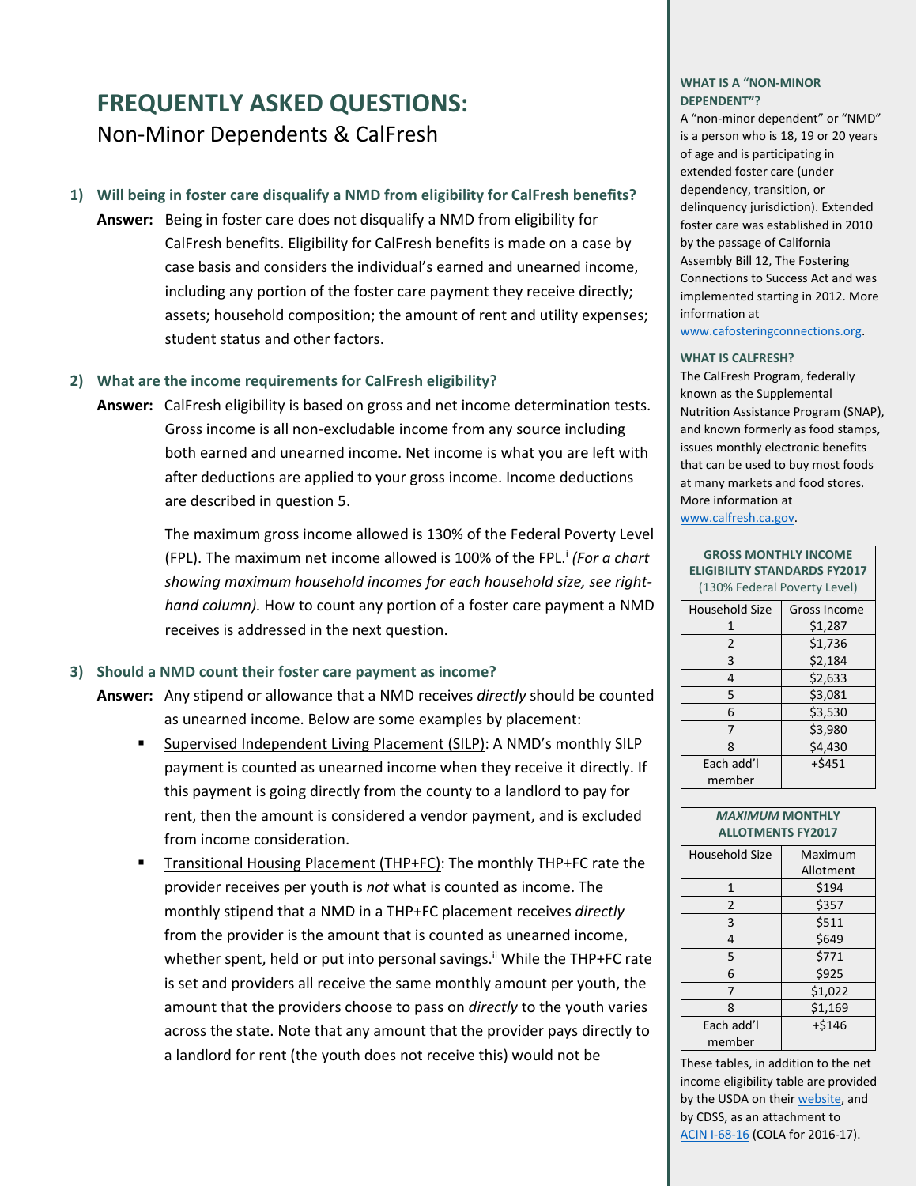# **FREQUENTLY ASKED QUESTIONS:** Non‐Minor Dependents & CalFresh

### **1) Will being in foster care disqualify a NMD from eligibility for CalFresh benefits?**

**Answer:** Being in foster care does not disqualify a NMD from eligibility for CalFresh benefits. Eligibility for CalFresh benefits is made on a case by case basis and considers the individual's earned and unearned income, including any portion of the foster care payment they receive directly; assets; household composition; the amount of rent and utility expenses; student status and other factors.

#### **2) What are the income requirements for CalFresh eligibility?**

**Answer:** CalFresh eligibility is based on gross and net income determination tests. Gross income is all non‐excludable income from any source including both earned and unearned income. Net income is what you are left with after deductions are applied to your gross income. Income deductions are described in question 5.

> The maximum gross income allowed is 130% of the Federal Poverty Level (FPL). The maximum net income allowed is 100% of the FPL.i *(For a chart showing maximum household incomes for each household size, see right‐ hand column).* How to count any portion of a foster care payment a NMD receives is addressed in the next question.

#### **3) Should a NMD count their foster care payment as income?**

- **Answer:** Any stipend or allowance that a NMD receives *directly* should be counted as unearned income. Below are some examples by placement:
	- Supervised Independent Living Placement (SILP): A NMD's monthly SILP payment is counted as unearned income when they receive it directly. If this payment is going directly from the county to a landlord to pay for rent, then the amount is considered a vendor payment, and is excluded from income consideration.
	- Transitional Housing Placement (THP+FC): The monthly THP+FC rate the provider receives per youth is *not* what is counted as income. The monthly stipend that a NMD in a THP+FC placement receives *directly* from the provider is the amount that is counted as unearned income, whether spent, held or put into personal savings.<sup>ii</sup> While the THP+FC rate is set and providers all receive the same monthly amount per youth, the amount that the providers choose to pass on *directly* to the youth varies across the state. Note that any amount that the provider pays directly to a landlord for rent (the youth does not receive this) would not be

#### **WHAT IS A "NON‐MINOR DEPENDENT"?**

A "non‐minor dependent" or "NMD" is a person who is 18, 19 or 20 years of age and is participating in extended foster care (under dependency, transition, or delinquency jurisdiction). Extended foster care was established in 2010 by the passage of California Assembly Bill 12, The Fostering Connections to Success Act and was implemented starting in 2012. More information at

www.cafosteringconnections.org.

#### **WHAT IS CALFRESH?**

The CalFresh Program, federally known as the Supplemental Nutrition Assistance Program (SNAP), and known formerly as food stamps, issues monthly electronic benefits that can be used to buy most foods at many markets and food stores. More information at www.calfresh.ca.gov.

| <b>GROSS MONTHLY INCOME</b><br><b>ELIGIBILITY STANDARDS FY2017</b><br>(130% Federal Poverty Level) |              |
|----------------------------------------------------------------------------------------------------|--------------|
| Household Size                                                                                     | Gross Income |
| 1                                                                                                  | \$1,287      |
| 2                                                                                                  | \$1,736      |
| 3                                                                                                  | \$2,184      |
| 4                                                                                                  | \$2,633      |
| 5                                                                                                  | \$3,081      |
| 6                                                                                                  | \$3,530      |
| 7                                                                                                  | \$3,980      |
| 8                                                                                                  | \$4,430      |
| Each add'l                                                                                         | $+5451$      |
| member                                                                                             |              |

| <b>MAXIMUM MONTHLY</b><br><b>ALLOTMENTS FY2017</b> |           |
|----------------------------------------------------|-----------|
| <b>Household Size</b>                              | Maximum   |
|                                                    | Allotment |
| $\mathbf{1}$                                       | \$194     |
| $\overline{2}$                                     | \$357     |
| 3                                                  | \$511     |
| 4                                                  | \$649     |
| 5                                                  | \$771     |
| 6                                                  | \$925     |
| 7                                                  | \$1,022   |
| 8                                                  | \$1,169   |
| Each add'l                                         | $+ $146$  |
| member                                             |           |

These tables, in addition to the net income eligibility table are provided by the USDA on their [website,](http://www.fns.usda.gov/snap/cost-living-adjustment-cola-information) and by CDSS, as an attachment to [ACIN](http://www.cdss.ca.gov/lettersnotices/EntRes/getinfo/acin/2016/I-68_16.pdf) I‐68‐16 (COLA for 2016‐17).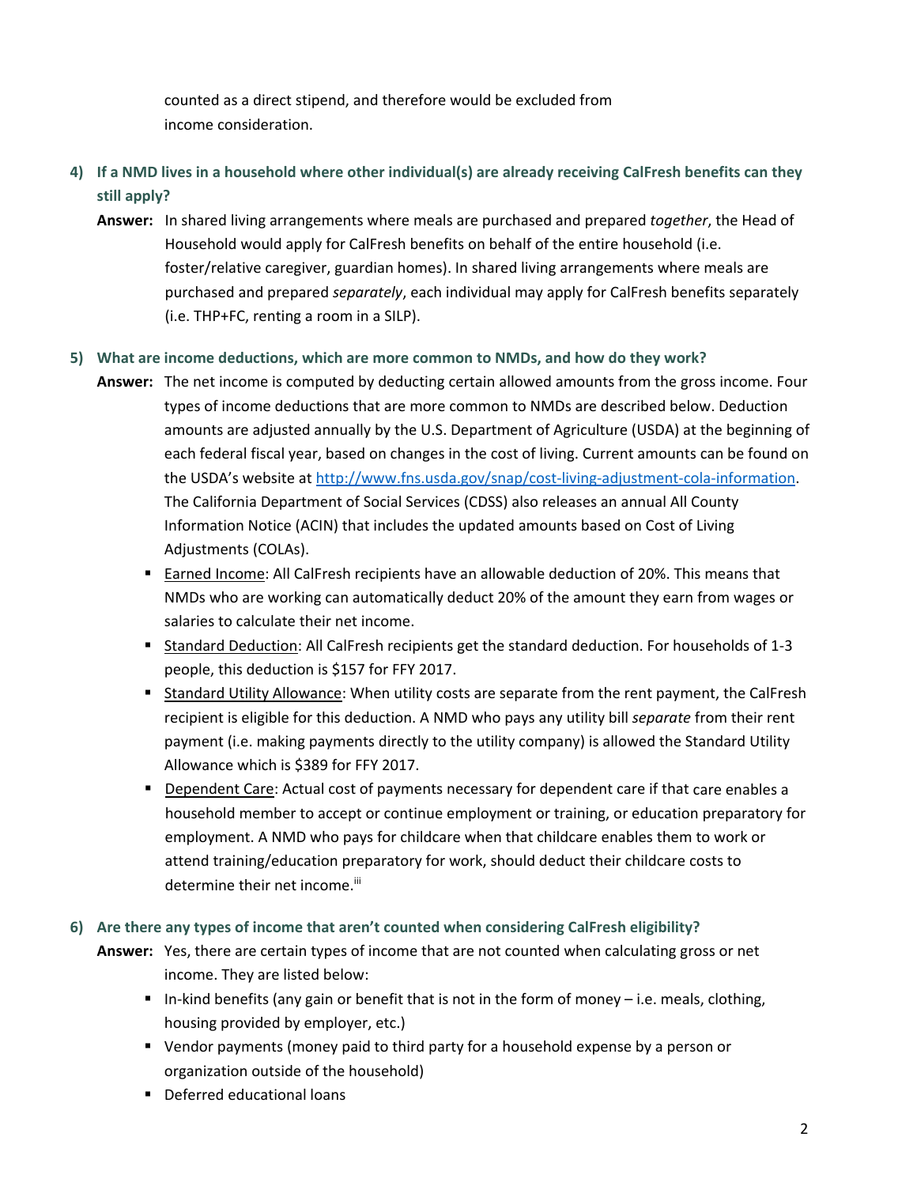counted as a direct stipend, and therefore would be excluded from income consideration.

- 4) If a NMD lives in a household where other individual(s) are already receiving CalFresh benefits can they **still apply?**
	- **Answer:** In shared living arrangements where meals are purchased and prepared *together*, the Head of Household would apply for CalFresh benefits on behalf of the entire household (i.e. foster/relative caregiver, guardian homes). In shared living arrangements where meals are purchased and prepared *separately*, each individual may apply for CalFresh benefits separately (i.e. THP+FC, renting a room in a SILP).

### **5) What are income deductions, which are more common to NMDs, and how do they work?**

- **Answer:** The net income is computed by deducting certain allowed amounts from the gross income. Four types of income deductions that are more common to NMDs are described below. Deduction amounts are adjusted annually by the U.S. Department of Agriculture (USDA) at the beginning of each federal fiscal year, based on changes in the cost of living. Current amounts can be found on the USDA's website at http://www.fns.usda.gov/snap/cost-living-adjustment-cola-information. The California Department of Social Services (CDSS) also releases an annual All County Information Notice (ACIN) that includes the updated amounts based on Cost of Living Adjustments (COLAs).
	- **Earned Income: All CalFresh recipients have an allowable deduction of 20%. This means that** NMDs who are working can automatically deduct 20% of the amount they earn from wages or salaries to calculate their net income.
	- Standard Deduction: All CalFresh recipients get the standard deduction. For households of 1-3 people, this deduction is \$157 for FFY 2017.
	- **Standard Utility Allowance: When utility costs are separate from the rent payment, the CalFresh** recipient is eligible for this deduction. A NMD who pays any utility bill *separate* from their rent payment (i.e. making payments directly to the utility company) is allowed the Standard Utility Allowance which is \$389 for FFY 2017.
	- **Dependent Care: Actual cost of payments necessary for dependent care if that care enables a** household member to accept or continue employment or training, or education preparatory for employment. A NMD who pays for childcare when that childcare enables them to work or attend training/education preparatory for work, should deduct their childcare costs to determine their net income.<sup>iii</sup>

### **6) Are there any types of income that aren't counted when considering CalFresh eligibility?**

- **Answer:** Yes, there are certain types of income that are not counted when calculating gross or net income. They are listed below:
	- In-kind benefits (any gain or benefit that is not in the form of money i.e. meals, clothing, housing provided by employer, etc.)
	- Vendor payments (money paid to third party for a household expense by a person or organization outside of the household)
	- **•** Deferred educational loans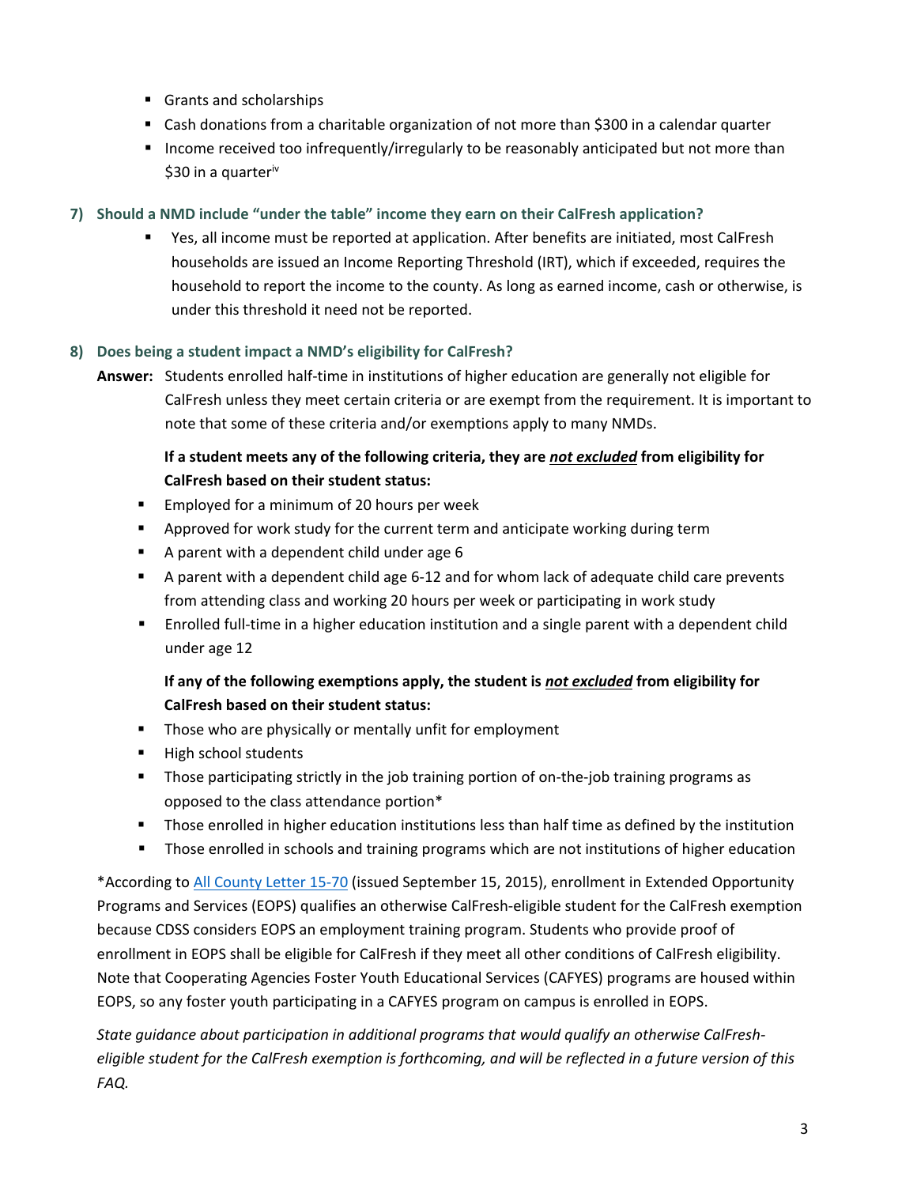- Grants and scholarships
- Cash donations from a charitable organization of not more than \$300 in a calendar quarter
- **Income received too infrequently/irregularly to be reasonably anticipated but not more than** \$30 in a quarter<sup>iv</sup>

### **7) Should a NMD include "under the table" income they earn on their CalFresh application?**

 Yes, all income must be reported at application. After benefits are initiated, most CalFresh households are issued an Income Reporting Threshold (IRT), which if exceeded, requires the household to report the income to the county. As long as earned income, cash or otherwise, is under this threshold it need not be reported.

### **8) Does being a student impact a NMD's eligibility for CalFresh?**

**Answer:** Students enrolled half‐time in institutions of higher education are generally not eligible for CalFresh unless they meet certain criteria or are exempt from the requirement. It is important to note that some of these criteria and/or exemptions apply to many NMDs.

## **If a student meets any of the following criteria, they are** *not excluded* **from eligibility for CalFresh based on their student status:**

- **Employed for a minimum of 20 hours per week**
- **Approved for work study for the current term and anticipate working during term**
- A parent with a dependent child under age 6
- A parent with a dependent child age 6-12 and for whom lack of adequate child care prevents from attending class and working 20 hours per week or participating in work study
- Enrolled full-time in a higher education institution and a single parent with a dependent child under age 12

### **If any of the following exemptions apply, the student is** *not excluded* **from eligibility for CalFresh based on their student status:**

- **Those who are physically or mentally unfit for employment**
- **High school students**
- Those participating strictly in the job training portion of on-the-job training programs as opposed to the class attendance portion\*
- **Those enrolled in higher education institutions less than half time as defined by the institution**
- **Those enrolled in schools and training programs which are not institutions of higher education**

\*According to All [County](http://www.dss.cahwnet.gov/lettersnotices/EntRes/getinfo/acl/2015/15-70.pdf) Letter 15‐70 (issued September 15, 2015), enrollment in Extended Opportunity Programs and Services (EOPS) qualifies an otherwise CalFresh‐eligible student for the CalFresh exemption because CDSS considers EOPS an employment training program. Students who provide proof of enrollment in EOPS shall be eligible for CalFresh if they meet all other conditions of CalFresh eligibility. Note that Cooperating Agencies Foster Youth Educational Services (CAFYES) programs are housed within EOPS, so any foster youth participating in a CAFYES program on campus is enrolled in EOPS.

*State guidance about participation in additional programs that would qualify an otherwise CalFresh‐* eligible student for the CalFresh exemption is forthcoming, and will be reflected in a future version of this *FAQ.*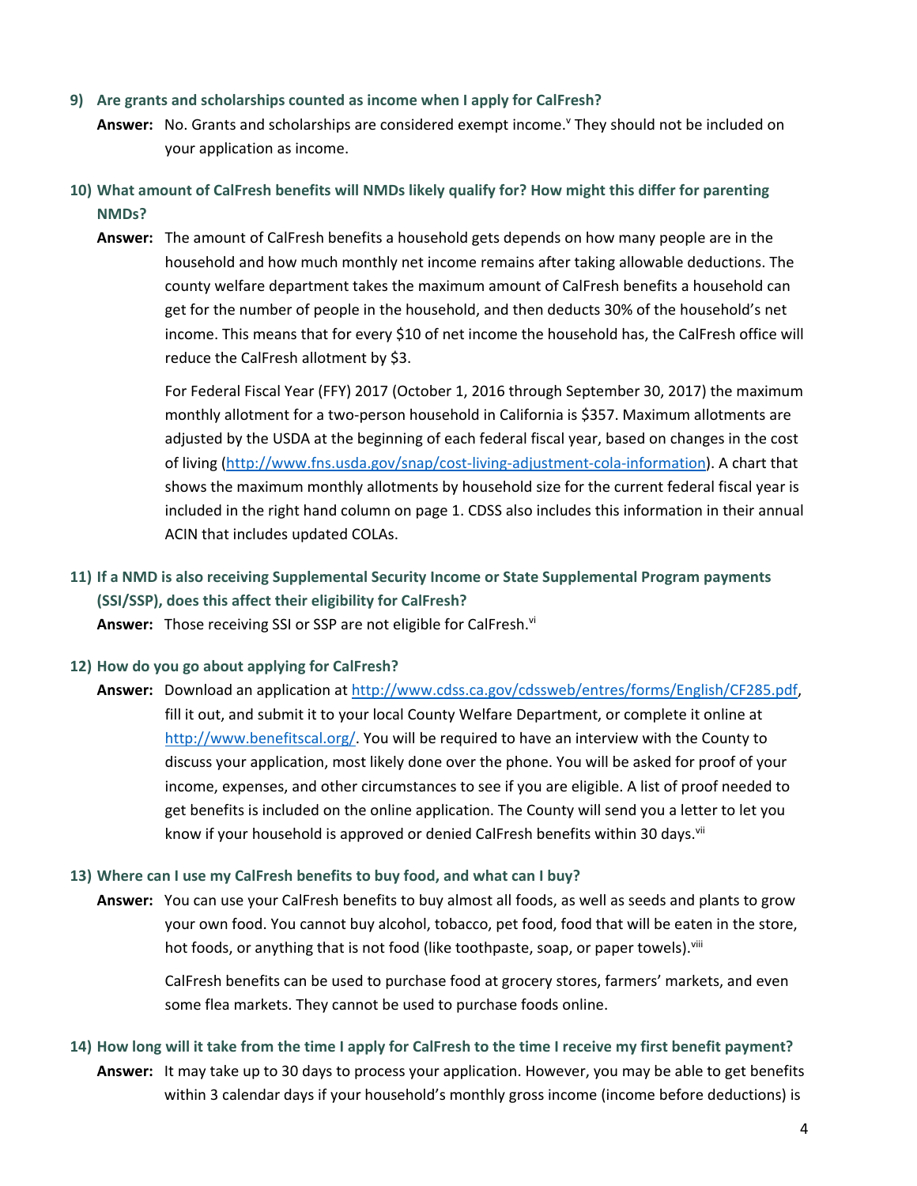#### **9) Are grants and scholarships counted as income when I apply for CalFresh?**

- Answer: No. Grants and scholarships are considered exempt income.<sup>y</sup> They should not be included on your application as income.
- **10) What amount of CalFresh benefits will NMDs likely qualify for? How might this differ for parenting NMDs?**
	- **Answer:** The amount of CalFresh benefits a household gets depends on how many people are in the household and how much monthly net income remains after taking allowable deductions. The county welfare department takes the maximum amount of CalFresh benefits a household can get for the number of people in the household, and then deducts 30% of the household's net income. This means that for every \$10 of net income the household has, the CalFresh office will reduce the CalFresh allotment by \$3.

For Federal Fiscal Year (FFY) 2017 (October 1, 2016 through September 30, 2017) the maximum monthly allotment for a two-person household in California is \$357. Maximum allotments are adjusted by the USDA at the beginning of each federal fiscal year, based on changes in the cost of living (http://www.fns.usda.gov/snap/cost‐living‐adjustment‐cola‐information). A chart that shows the maximum monthly allotments by household size for the current federal fiscal year is included in the right hand column on page 1. CDSS also includes this information in their annual ACIN that includes updated COLAs.

## **11) If a NMD is also receiving Supplemental Security Income or State Supplemental Program payments (SSI/SSP), does this affect their eligibility for CalFresh?**

Answer: Those receiving SSI or SSP are not eligible for CalFresh.<sup>vi</sup>

- **12) How do you go about applying for CalFresh?**
	- **Answer:** Download an application at http://www.cdss.ca.gov/cdssweb/entres/forms/English/CF285.pdf, fill it out, and submit it to your local County Welfare Department, or complete it online at http://www.benefitscal.org/. You will be required to have an interview with the County to discuss your application, most likely done over the phone. You will be asked for proof of your income, expenses, and other circumstances to see if you are eligible. A list of proof needed to get benefits is included on the online application. The County will send you a letter to let you know if your household is approved or denied CalFresh benefits within 30 days.<sup>vii</sup>

### **13) Where can I use my CalFresh benefits to buy food, and what can I buy?**

**Answer:** You can use your CalFresh benefits to buy almost all foods, as well as seeds and plants to grow your own food. You cannot buy alcohol, tobacco, pet food, food that will be eaten in the store, hot foods, or anything that is not food (like toothpaste, soap, or paper towels).<sup>viii</sup>

CalFresh benefits can be used to purchase food at grocery stores, farmers' markets, and even some flea markets. They cannot be used to purchase foods online.

14) How long will it take from the time I apply for CalFresh to the time I receive my first benefit payment? **Answer:** It may take up to 30 days to process your application. However, you may be able to get benefits within 3 calendar days if your household's monthly gross income (income before deductions) is